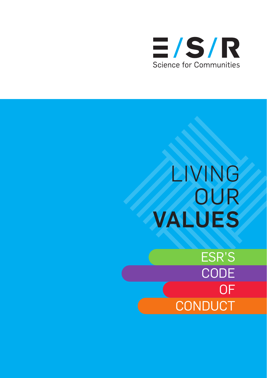

# LIVING **OUR** VALUES

ESR'S **CODE** OF **CONDUCT**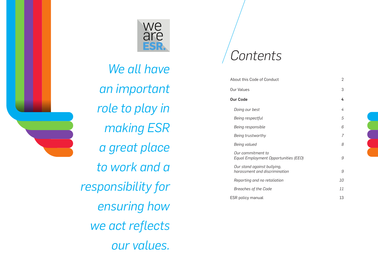

*We all have an important role to play in making ESR a great place to work and a responsibility for ensuring how we act reflects our values.* 

## *Contents*

| About this Code of Conduct                                   | $\overline{2}$ |
|--------------------------------------------------------------|----------------|
| Our Values                                                   | 3              |
| <b>Our Code</b>                                              | 4              |
| Doing our best                                               | 4              |
| Being respectful                                             | 5              |
| Being responsible                                            | 6              |
| Being trustworthy                                            | 7              |
| Being valued                                                 | 8              |
| Our commitment to<br>Equal Employment Opportunities (EEO)    | g              |
| Our stand against bullying,<br>harassment and discrimination | g              |
| Reporting and no retaliation                                 | 10             |
| Breaches of the Code                                         | 11             |
| <b>ESR</b> policy manual                                     | 13             |

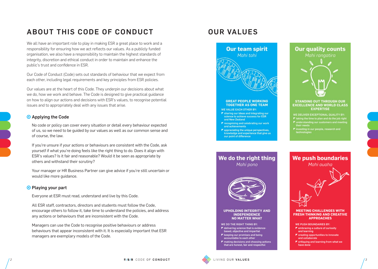### ABOUT THIS CODE OF CONDUCT

We all have an important role to play in making ESR a great place to work and a responsibility for ensuring how we act reflects our values. As a publicly funded organisation, we also have a responsibility to maintain the highest standards of integrity, discretion and ethical conduct in order to maintain and enhance the public's trust and confidence in ESR.

Our Code of Conduct (Code) sets out standards of behaviour that we expect from each other, including legal requirements and key principles from ESR policies.

Our values are at the heart of this Code. They underpin our decisions about what we do, how we work and behave. The Code is designed to give practical guidance on how to align our actions and decisions with ESR's values, to recognise potential issues and to appropriately deal with any issues that arise.

#### **O** Applying the Code

No code or policy can cover every situation or detail every behaviour expected of us, so we need to be guided by our values as well as our common sense and of course, the law.

If you're unsure if your actions or behaviours are consistent with the Code, ask yourself if what you're doing feels like the right thing to do. Does it align with ESR's values? Is it fair and reasonable? Would it be seen as appropriate by others and withstand their scrutiny?

Your manager or HR Business Partner can give advice if you're still uncertain or would like more guidance.

#### **O** Playing your part

Everyone at ESR must read, understand and live by this Code.

All ESR staff, contractors, directors and students must follow the Code, encourage others to follow it, take time to understand the policies, and address any actions or behaviours that are inconsistent with the Code.

Managers can use the Code to recognise positive behaviours or address behaviours that appear inconsistent with it. It is especially important that ESR managers are exemplary models of the Code.

### OUR VALUES



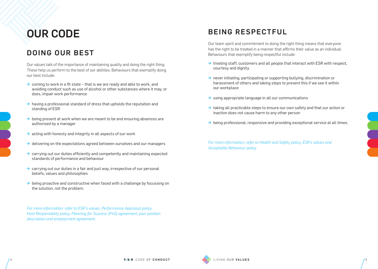## OUR CODE

### DOING OUR BEST

Our values talk of the importance of maintaining quality and doing the right thing. These help us perform to the best of our abilities. Behaviours that exemplify doing our best include:

- $\rightarrow$  coming to work in a fit state that is we are ready and able to work, and avoiding conduct such as use of alcohol or other substances where it may, or does, impair work performance
- $\rightarrow$  having a professional standard of dress that upholds the reputation and standing of ESR
- $\rightarrow$  being present at work when we are meant to be and ensuring absences are authorised by a manager
- $\rightarrow$  acting with honesty and integrity in all aspects of our work
- $\rightarrow$  delivering on the expectations agreed between ourselves and our managers
- $\rightarrow$  carrying out our duties efficiently and competently and maintaining expected standards of performance and behaviour
- $\rightarrow$  carrying out our duties in a fair and just way, irrespective of our personal beliefs, values and philosophies
- $\rightarrow$  being proactive and constructive when faced with a challenge by focussing on the solution, not the problem.

*For more information, refer to ESR's values, Performance Appraisal policy, Host Responsibility policy, Planning for Success (P4S) agreement, your position description and employment agreement.* 

### BEING RESPECTFUL

Our team spirit and commitment to doing the right thing means that everyone has the right to be treated in a manner that affirms their value as an individual. Behaviours that exemplify being respectful include:

- $\rightarrow$  treating staff, customers and all people that interact with ESR with respect, courtesy and dignity
- $\rightarrow$  never initiating, participating or supporting bullying, discrimination or harassment of others and taking steps to prevent this if we see it within our workplace
- $\rightarrow$  using appropriate language in all our communications
- $\rightarrow$  taking all practicable steps to ensure our own safety and that our action or inaction does not cause harm to any other person
- $\rightarrow$  being professional, responsive and providing exceptional service at all times.

*For more information, refer to Health and Safety policy, ESR's values and Acceptable Behaviour policy.* 

 $\overline{a}$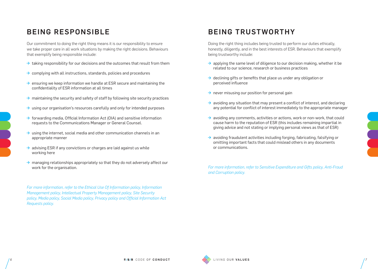### BEING RESPONSIBLE

Our commitment to doing the right thing means it is our responsibility to ensure we take proper care in all work situations by making the right decisions. Behaviours that exemplify being responsible include:

- $\rightarrow$  taking responsibility for our decisions and the outcomes that result from them
- $\rightarrow$  complying with all instructions, standards, policies and procedures
- $\rightarrow$  ensuring we keep information we handle at ESR secure and maintaining the confidentiality of ESR information at all times
- $\rightarrow$  maintaining the security and safety of staff by following site security practices
- $\rightarrow$  using our organisation's resources carefully and only for intended purposes
- $\rightarrow$  forwarding media, Official Information Act (OIA) and sensitive information requests to the Communications Manager or General Counsel.
- $\rightarrow$  using the internet, social media and other communication channels in an appropriate manner
- $\rightarrow$  advising ESR if any convictions or charges are laid against us while working here
- $\rightarrow$  managing relationships appropriately so that they do not adversely affect our work for the organisation.

*For more information, refer to the Ethical Use Of Information policy, Information Management policy, Intellectual Property Management policy, Site Security policy, Media policy, Social Media policy, Privacy policy and Official Information Act Requests policy.* 

### BEING TRUSTWORTHY

Doing the right thing includes being trusted to perform our duties ethically, honestly, diligently, and in the best interests of ESR. Behaviours that exemplify being trustworthy include:

- $\rightarrow$  applying the same level of diligence to our decision making, whether it be related to our science, research or business practices
- $\rightarrow$  declining gifts or benefits that place us under any obligation or perceived influence
- $\rightarrow$  never misusing our position for personal gain
- $\rightarrow$  avoiding any situation that may present a conflict of interest, and declaring any potential for conflict of interest immediately to the appropriate manager
- $\rightarrow$  avoiding any comments, activities or actions, work or non-work, that could cause harm to the reputation of ESR (this includes remaining impartial in giving advice and not stating or implying personal views as that of ESR)
- $\rightarrow$  avoiding fraudulent activities including forging, fabricating, falsifying or omitting important facts that could mislead others in any documents or communications.

*For more information, refer to Sensitive Expenditure and Gifts policy, Anti-Fraud and Corruption policy.* 





 $\overline{a}$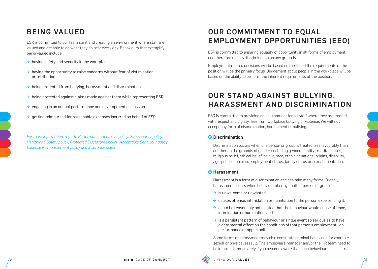### BEING VALUED

ESR is committed to our team spirit and creating an environment where staff are valued and are able to do what they do best every day. Behaviours that exemplify being valued include:

- $\rightarrow$  having safety and security in the workplace
- $\rightarrow$  having the opportunity to raise concerns without fear of victimisation or retribution
- $\rightarrow$  being protected from bullying, harassment and discrimination
- $\rightarrow$  being protected against claims made against them while representing ESR
- $\rightarrow$  engaging in an annual performance and development discussion
- $\rightarrow$  aetting reimbursed for reasonable expenses incurred on behalf of ESR.

*For more information, refer to Performance Appraisal policy, Site Security policy, Health and Safety policy, Protected Disclosures policy, Acceptable Behaviour policy, Expense Reimbursement policy and Insurance policy.* 

### OUR COMMITMENT TO EQUAL EMPLOYMENT OPPORTUNITIES (EEO)

ESR is committed to ensuring equality of opportunity in all forms of employment and therefore rejects discrimination on any grounds.

Employment related decisions will be based on merit and the requirements of the position will be the primary focus. Judgement about people in the workplace will be based on the ability to perform the inherent requirements of the position.

### OUR STAND AGAINST BULLYING, HARASSMENT AND DISCRIMINATION

ESR is committed to providing an environment for all staff where they are treated with respect and dignity, free from workplace bullying or violence. We will not accept any form of discrimination, harassment or bullying.

#### **O** Discrimination

Discrimination occurs when one person or group is treated less favourably than another on the grounds of gender (including gender identity), marital status, religious belief, ethical belief, colour, race, ethnic or national origins, disability, age, political opinion, employment status, family status or sexual orientation.

#### **O** Harassment

Harassment is a form of discrimination and can take many forms. Broadly, harassment occurs when behaviour of or by another person or group:

- $\rightarrow$  is unwelcome or unwanted:
- $\rightarrow$  causes offense, intimidation or humiliation to the person experiencing it;
- $\rightarrow$  could be reasonably anticipated that the behaviour would cause offence, intimidation or humiliation; and
- $\rightarrow$  is a persistent pattern of behaviour or single event so serious as to have a detrimental effect on the conditions of that person's employment, job performance or opportunities.

Some forms of harassment may also constitute criminal behaviour, for example, sexual or physical assault. The employee's manager and/or the HR team need to be informed immediately if you become aware that such behaviour has occurred.

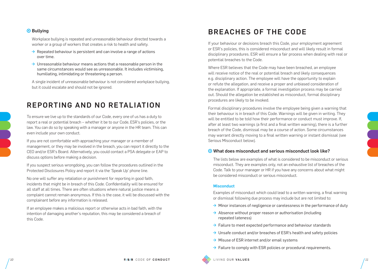#### **⊙** Bullying

Workplace bullying is repeated and unreasonable behaviour directed towards a worker or a group of workers that creates a risk to health and safety.

- $\rightarrow$  Repeated behaviour is persistent and can involve a range of actions over time.
- $\rightarrow$  Unreasonable behaviour means actions that a reasonable person in the same circumstances would see as unreasonable. It includes victimising, humiliating, intimidating or threatening a person.

A single incident of unreasonable behaviour is not considered workplace bullying, but it could escalate and should not be ignored.

### REPORTING AND NO RETALIATION

To ensure we live up to the standards of our Code, every one of us has a duty to report a real or potential breach – whether it be to our Code, ESR's policies, or the law. You can do so by speaking with a manager or anyone in the HR team. This can even include your own conduct.

If you are not comfortable with approaching your manager or a member of management, or they may be involved in the breach, you can report it directly to the CEO and/or ESR's Board. Alternatively, you could contact a PSA delegate or EAP to discuss options before making a decision.

If you suspect serious wrongdoing, you can follow the procedures outlined in the Protected Disclosures Policy and report it via the 'Speak Up' phone line.

No one will suffer any retaliation or punishment for reporting in good faith, incidents that might be in breach of this Code. Confidentiality will be ensured for all staff at all times. There are often situations where natural justice means a complaint cannot remain anonymous. If this is the case, it will be discussed with the complainant before any information is released.

If an employee makes a malicious report or otherwise acts in bad faith, with the intention of damaging another's reputation, this may be considered a breach of this Code.

### BREACHES OF THE CODE

If your behaviour or decisions breach this Code, your employment agreement or ESR's policies, this is considered misconduct and will likely result in formal disciplinary procedures. ESR will ensure a fair process when dealing with real or potential breaches to the Code.

Where ESR believes that the Code may have been breached, an employee will receive notice of the real or potential breach and likely consequences e.g. disciplinary action. The employee will have the opportunity to explain or refute the allegation, and receive a proper and unbiased consideration of the explanation. If appropriate, a formal investigation process may be carried out. Should the allegation be established as misconduct, formal disciplinary procedures are likely to be invoked.

Formal disciplinary procedures involve the employee being given a warning that their behaviour is in breach of this Code. Warnings will be given in writing. They will be entitled to be told how their performance or conduct must improve. If, after at least two warnings (a first and a final written warning), there is a further breach of the Code, dismissal may be a course of action. Some circumstances may warrant directly moving to a final written warning or instant dismissal (see Serious Misconduct below).

#### What does misconduct and serious misconduct look like?

The lists below are examples of what is considered to be misconduct or serious misconduct. They are examples only, not an exhaustive list of breaches of the Code. Talk to your manager or HR if you have any concerns about what might be considered misconduct or serious misconduct.

#### **Misconduct**

Examples of misconduct which could lead to a written warning, a final warning or dismissal following due process may include but are not limited to:

- $\rightarrow$  Minor instances of negligence or carelessness in the performance of duty
- $\rightarrow$  Absence without proper reason or authorisation (including repeated lateness)
- $\rightarrow$  Failure to meet expected performance and behaviour standards
- $\rightarrow$  Unsafe conduct and/or breaches of ESR's health and safety policies
- $\rightarrow$  Misuse of ESR internet and/or email systems
- $\rightarrow$  Failure to comply with ESR policies or procedural requirements.

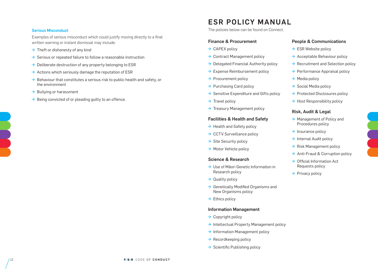#### Serious Misconduct

Examples of serious misconduct which could justify moving directly to a final written warning or instant dismissal may include:

- $\rightarrow$  Theft or dishonesty of any kind
- $\rightarrow$  Serious or repeated failure to follow a reasonable instruction
- $\rightarrow$  Deliberate destruction of any property belonging to ESR
- $\rightarrow$  Actions which seriously damage the reputation of ESR
- $\rightarrow$  Behaviour that constitutes a serious risk to public health and safety, or the environment
- $\rightarrow$  Bullying or harassment
- $\rightarrow$  Being convicted of or pleading quilty to an offence.

### ESR POLICY MANUAL

The policies below can be found on Connect.

#### Finance & Procurement

- $\rightarrow$  [CAPEX policy](http://connect.esr.cri.nz/Shared%20Documents/CAPEXPolicy.pdf)
- $\rightarrow$  [Contract Management policy](http://connect.esr.cri.nz/Shared%20Documents/ContractPolicy.pdf)
- $\rightarrow$  [Delegated Financial Authority policy](http://connect.esr.cri.nz/Shared%20Documents/DelegationAuthorityPolicy.pdf)
- $\rightarrow$  [Expense Reimbursement policy](http://connect.esr.cri.nz/Shared%20Documents/ExpenseReimbursementPolicy.pdf)
- $\rightarrow$  [Procurement policy](http://connect.esr.cri.nz/Shared%20Documents/ProcurementPolicy.pdf)
- $\rightarrow$  [Purchasing Card policy](http://connect.esr.cri.nz/Shared%20Documents/PurchasingCardPolicy.pdf)
- $\rightarrow$  [Sensitive Expenditure and Gifts policy](http://connect.esr.cri.nz/Shared%20Documents/SensitiveExpenditurePolicy.pdf)
- $\rightarrow$  [Travel policy](http://connect.esr.cri.nz/Shared%20Documents/TravelPolicy.pdf)
- $\rightarrow$  [Treasury Management policy](http://connect.esr.cri.nz/Shared%20Documents/TreasuryManagementPolicy.pdf)

#### Facilities & Health and Safety

- $\rightarrow$  [Health and Safety policy](http://connect.esr.cri.nz/Shared%20Documents/HealthAndSafetyPolicy.pdf)
- $\rightarrow$  [CCTV Surveillance policy](http://connect.esr.cri.nz/Shared%20Documents/CCTVSurveillancePolicy.pdf)
- $\rightarrow$  [Site Security policy](http://connect.esr.cri.nz/Shared%20Documents/SecurityProtocols.pdf)
- $\rightarrow$  [Motor Vehicle policy](http://connect.esr.cri.nz/Shared%20Documents/MotorVehiclePolicy.pdf)

#### Science & Research

- $\rightarrow$  Use of Māori Genetic Information in [Research policy](http://connect.esr.cri.nz/Shared%20Documents/UseOfMaoriGeneticInformationPolicy.pdf)
- $\rightarrow$  [Quality policy](http://connect.esr.cri.nz/Shared%20Documents/QualityPolicy.pdf)
- $\rightarrow$  Genetically Modified Organisms and [New Organisms policy](http://connect.esr.cri.nz/Shared%20Documents/GMONewOrganismsPolicy.pdf)
- $\rightarrow$  [Ethics policy](http://connect.esr.cri.nz/Shared%20Documents/EthicsPolicy.pdf)

#### Information Management

- $\rightarrow$  [Copyright policy](http://connect.esr.cri.nz/Shared%20Documents/CopyrightPolicy.pdf)
- $\rightarrow$  [Intellectual Property Management policy](http://connect.esr.cri.nz/Shared%20Documents/IntellectualPropertyManagementPolicy.pdf)
- $\rightarrow$  [Information Management policy](http://connect.esr.cri.nz/Shared%20Documents/InformationManagementPolicy.pdf)
- $\rightarrow$  [Recordkeeping policy](http://connect.esr.cri.nz/Shared%20Documents/Recordkeeping.pdf)
- $\rightarrow$  Scientific Publishing policy

#### People & Communications

- $\rightarrow$  [ESR Website policy](http://connect.esr.cri.nz/Shared%20Documents/ESRWebsitePolicy.pdf)
- $\rightarrow$  [Acceptable Behaviour policy](http://connect.esr.cri.nz/Shared%20Documents/AcceptableBehaviourPolicy.pdf)
- $\rightarrow$  [Recruitment and Selection policy](http://connect.esr.cri.nz/Shared%20Documents/RecruitmentandSelectionPolicy.pdf)
- $\rightarrow$  [Performance Appraisal policy](http://connect.esr.cri.nz/Shared%20Documents/PerformanceAppraisalPolicy.pdf)
- $\rightarrow$  [Media policy](http://connect.esr.cri.nz/Shared%20Documents/MediaPolicy.pdf)
- $\rightarrow$  [Social Media policy](http://connect.esr.cri.nz/Shared%20Documents/SocialMediaPolicy.pdf)
- $\rightarrow$  [Protected Disclosures policy](http://connect.esr.cri.nz/Shared%20Documents/ProtectedDisclosuresPolicy.pdf)
- $\rightarrow$  [Host Responsibility policy](http://connect.esr.cri.nz/Shared%20Documents/HostResponsibilityPolicy.pdf)

#### Risk, Audit & Legal

- $\rightarrow$  Management of Policy and [Procedures policy](http://connect.esr.cri.nz/Shared%20Documents/ManagementOfPolicy.pdf)
- $\rightarrow$  [Insurance policy](http://connect.esr.cri.nz/Shared%20Documents/InsurancePolicy.pdf)
- $\rightarrow$  [Internal Audit policy](http://connect.esr.cri.nz/Shared%20Documents/InternalAuditPolicy.pdf)
- $\rightarrow$  [Risk Management policy](http://connect.esr.cri.nz/Shared%20Documents/RiskManagementPolicy.pdf)
- $\rightarrow$  [Anti-Fraud & Corruption policy](http://connect.esr.cri.nz/Shared%20Documents/Anti-FraudandCorruptionPolicy.pdf)
- $\rightarrow$  Official Information Act [Requests policy](http://connect.esr.cri.nz/Shared%20Documents/OIARequestsPolicy.pdf)
- $\rightarrow$  [Privacy policy](http://connect.esr.cri.nz/Shared%20Documents/PrivacyActPolicy.pdf)